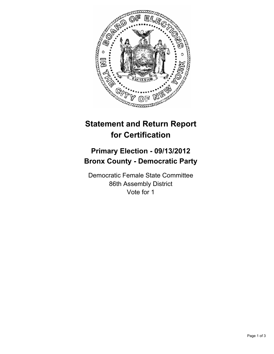

## **Statement and Return Report for Certification**

## **Primary Election - 09/13/2012 Bronx County - Democratic Party**

Democratic Female State Committee 86th Assembly District Vote for 1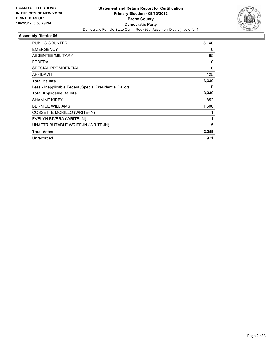

## **Assembly District 86**

| <b>PUBLIC COUNTER</b>                                    | 3,140 |
|----------------------------------------------------------|-------|
| <b>EMERGENCY</b>                                         | 0     |
| ABSENTEE/MILITARY                                        | 65    |
| <b>FEDERAL</b>                                           | 0     |
| <b>SPECIAL PRESIDENTIAL</b>                              | 0     |
| <b>AFFIDAVIT</b>                                         | 125   |
| <b>Total Ballots</b>                                     | 3,330 |
| Less - Inapplicable Federal/Special Presidential Ballots | 0     |
| <b>Total Applicable Ballots</b>                          | 3,330 |
| <b>SHANINE KIRBY</b>                                     | 852   |
| <b>BERNICE WILLIAMS</b>                                  | 1,500 |
| COSSETTE MORILLO (WRITE-IN)                              |       |
| EVELYN RIVERA (WRITE-IN)                                 | 1     |
| UNATTRIBUTABLE WRITE-IN (WRITE-IN)                       | 5     |
| <b>Total Votes</b>                                       | 2,359 |
| Unrecorded                                               | 971   |